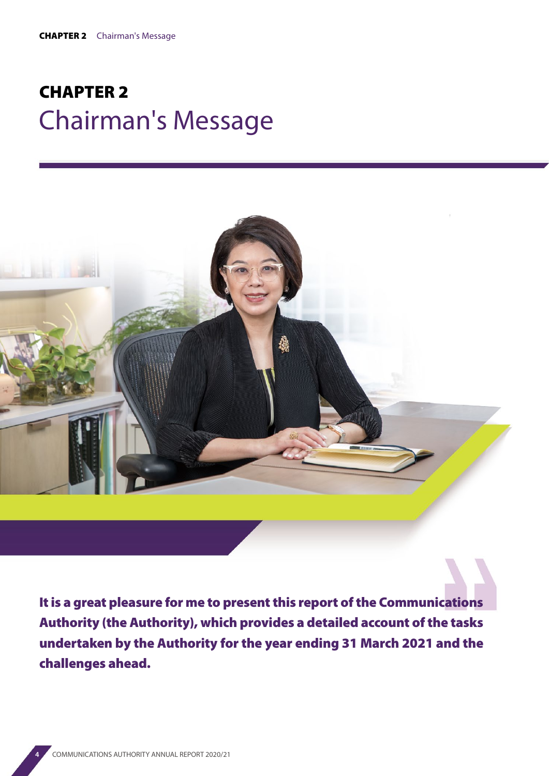## CHAPTER 2 Chairman's Message



It is a great pleasure for me to present this report of the Communications Authority (the Authority), which provides a detailed account of the tasks undertaken by the Authority for the year ending 31 March 2021 and the challenges ahead.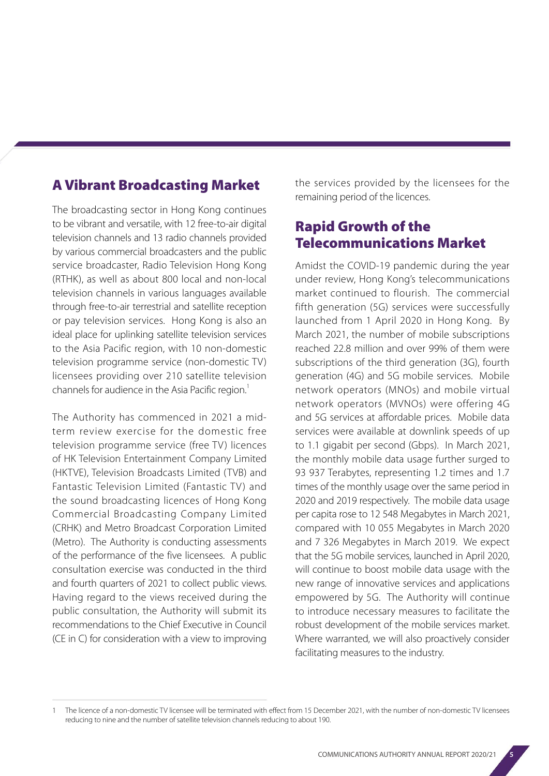## A Vibrant Broadcasting Market

The broadcasting sector in Hong Kong continues to be vibrant and versatile, with 12 free-to-air digital television channels and 13 radio channels provided by various commercial broadcasters and the public service broadcaster, Radio Television Hong Kong (RTHK), as well as about 800 local and non-local television channels in various languages available through free-to-air terrestrial and satellite reception or pay television services. Hong Kong is also an ideal place for uplinking satellite television services to the Asia Pacific region, with 10 non-domestic television programme service (non-domestic TV) licensees providing over 210 satellite television channels for audience in the Asia Pacific region.<sup>1</sup>

The Authority has commenced in 2021 a midterm review exercise for the domestic free television programme service (free TV) licences of HK Television Entertainment Company Limited (HKTVE), Television Broadcasts Limited (TVB) and Fantastic Television Limited (Fantastic TV) and the sound broadcasting licences of Hong Kong Commercial Broadcasting Company Limited (CRHK) and Metro Broadcast Corporation Limited (Metro). The Authority is conducting assessments of the performance of the five licensees. A public consultation exercise was conducted in the third and fourth quarters of 2021 to collect public views. Having regard to the views received during the public consultation, the Authority will submit its recommendations to the Chief Executive in Council (CE in C) for consideration with a view to improving the services provided by the licensees for the remaining period of the licences.

## Rapid Growth of the Telecommunications Market

Amidst the COVID-19 pandemic during the year under review, Hong Kong's telecommunications market continued to flourish. The commercial fifth generation (5G) services were successfully launched from 1 April 2020 in Hong Kong. By March 2021, the number of mobile subscriptions reached 22.8 million and over 99% of them were subscriptions of the third generation (3G), fourth generation (4G) and 5G mobile services. Mobile network operators (MNOs) and mobile virtual network operators (MVNOs) were offering 4G and 5G services at affordable prices. Mobile data services were available at downlink speeds of up to 1.1 gigabit per second (Gbps). In March 2021, the monthly mobile data usage further surged to 93 937 Terabytes, representing 1.2 times and 1.7 times of the monthly usage over the same period in 2020 and 2019 respectively. The mobile data usage per capita rose to 12 548 Megabytes in March 2021, compared with 10 055 Megabytes in March 2020 and 7 326 Megabytes in March 2019. We expect that the 5G mobile services, launched in April 2020, will continue to boost mobile data usage with the new range of innovative services and applications empowered by 5G. The Authority will continue to introduce necessary measures to facilitate the robust development of the mobile services market. Where warranted, we will also proactively consider facilitating measures to the industry.

The licence of a non-domestic TV licensee will be terminated with effect from 15 December 2021, with the number of non-domestic TV licensees reducing to nine and the number of satellite television channels reducing to about 190.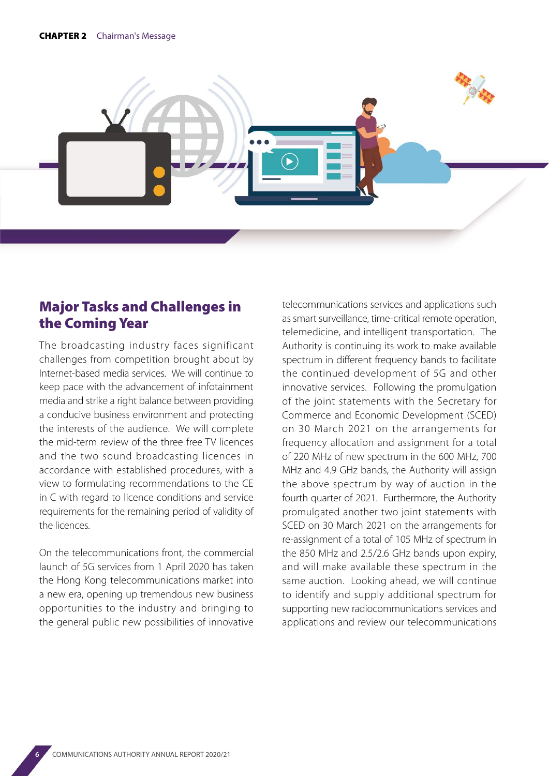

## Major Tasks and Challenges in the Coming Year

The broadcasting industry faces significant challenges from competition brought about by Internet-based media services. We will continue to keep pace with the advancement of infotainment media and strike a right balance between providing a conducive business environment and protecting the interests of the audience. We will complete the mid-term review of the three free TV licences and the two sound broadcasting licences in accordance with established procedures, with a view to formulating recommendations to the CE in C with regard to licence conditions and service requirements for the remaining period of validity of the licences.

On the telecommunications front, the commercial launch of 5G services from 1 April 2020 has taken the Hong Kong telecommunications market into a new era, opening up tremendous new business opportunities to the industry and bringing to the general public new possibilities of innovative telecommunications services and applications such as smart surveillance, time-critical remote operation, telemedicine, and intelligent transportation. The Authority is continuing its work to make available spectrum in different frequency bands to facilitate the continued development of 5G and other innovative services. Following the promulgation of the joint statements with the Secretary for Commerce and Economic Development (SCED) on 30 March 2021 on the arrangements for frequency allocation and assignment for a total of 220 MHz of new spectrum in the 600 MHz, 700 MHz and 4.9 GHz bands, the Authority will assign the above spectrum by way of auction in the fourth quarter of 2021. Furthermore, the Authority promulgated another two joint statements with SCED on 30 March 2021 on the arrangements for re-assignment of a total of 105 MHz of spectrum in the 850 MHz and 2.5/2.6 GHz bands upon expiry, and will make available these spectrum in the same auction. Looking ahead, we will continue to identify and supply additional spectrum for supporting new radiocommunications services and applications and review our telecommunications